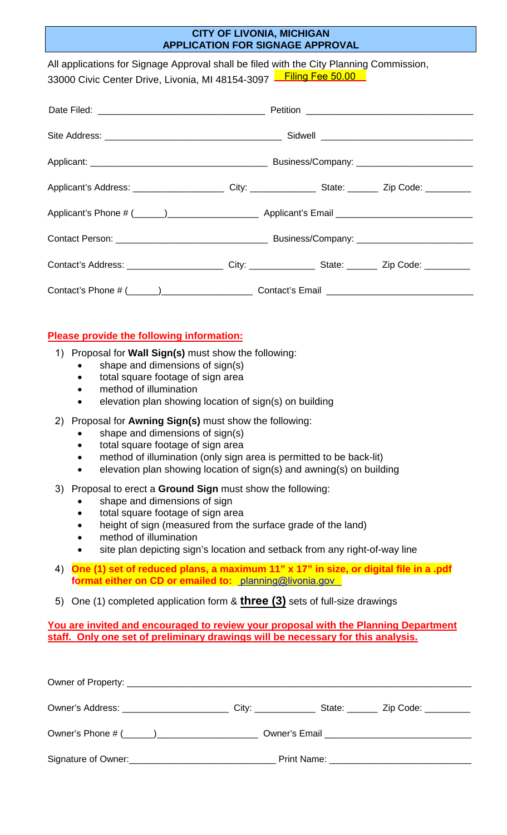## **CITY OF LIVONIA, MICHIGAN APPLICATION FOR SIGNAGE APPROVAL**

All applications for Signage Approval shall be filed with the City Planning Commission, 33000 Civic Center Drive, Livonia, MI 48154-3097 Landing Fee 50.00

## **Please provide the following information:**

- 1) Proposal for **Wall Sign(s)** must show the following:
	- shape and dimensions of sign(s)
	- total square footage of sign area
	- method of illumination
	- elevation plan showing location of sign(s) on building
- 2) Proposal for **Awning Sign(s)** must show the following:
	- shape and dimensions of sign(s)
	- total square footage of sign area
	- method of illumination (only sign area is permitted to be back-lit)
	- elevation plan showing location of sign(s) and awning(s) on building
- 3) Proposal to erect a **Ground Sign** must show the following:
	- shape and dimensions of sign
	- total square footage of sign area
	- height of sign (measured from the surface grade of the land)
	- method of illumination
	- site plan depicting sign's location and setback from any right-of-way line
- 4) **One (1) set of reduced plans, a maximum 11" x 17" in size, or digital file in a .pdf format either on CD or emailed to:** [planning@livonia.gov](mailto:smiller@ci.livonia.mi.us)
- 5) One (1) completed application form & **three (3)** sets of full-size drawings

**You are invited and encouraged to review your proposal with the Planning Department staff. Only one set of preliminary drawings will be necessary for this analysis.**

| Signature of Owner:<br><u> Communication</u> |  |  |  |  |  |
|----------------------------------------------|--|--|--|--|--|